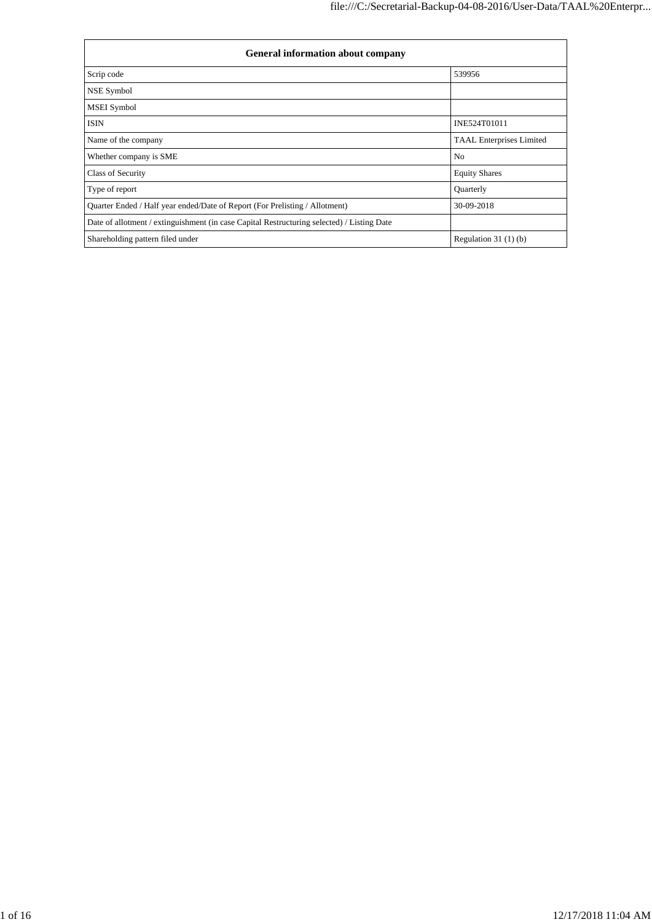| <b>General information about company</b>                                                   |                                 |  |  |  |
|--------------------------------------------------------------------------------------------|---------------------------------|--|--|--|
| Scrip code                                                                                 | 539956                          |  |  |  |
| NSE Symbol                                                                                 |                                 |  |  |  |
| <b>MSEI</b> Symbol                                                                         |                                 |  |  |  |
| <b>ISIN</b>                                                                                | INE524T01011                    |  |  |  |
| Name of the company                                                                        | <b>TAAL Enterprises Limited</b> |  |  |  |
| Whether company is SME                                                                     | N <sub>0</sub>                  |  |  |  |
| Class of Security                                                                          | <b>Equity Shares</b>            |  |  |  |
| Type of report                                                                             | Quarterly                       |  |  |  |
| Quarter Ended / Half year ended/Date of Report (For Prelisting / Allotment)                | 30-09-2018                      |  |  |  |
| Date of allotment / extinguishment (in case Capital Restructuring selected) / Listing Date |                                 |  |  |  |
| Shareholding pattern filed under                                                           | Regulation $31(1)(b)$           |  |  |  |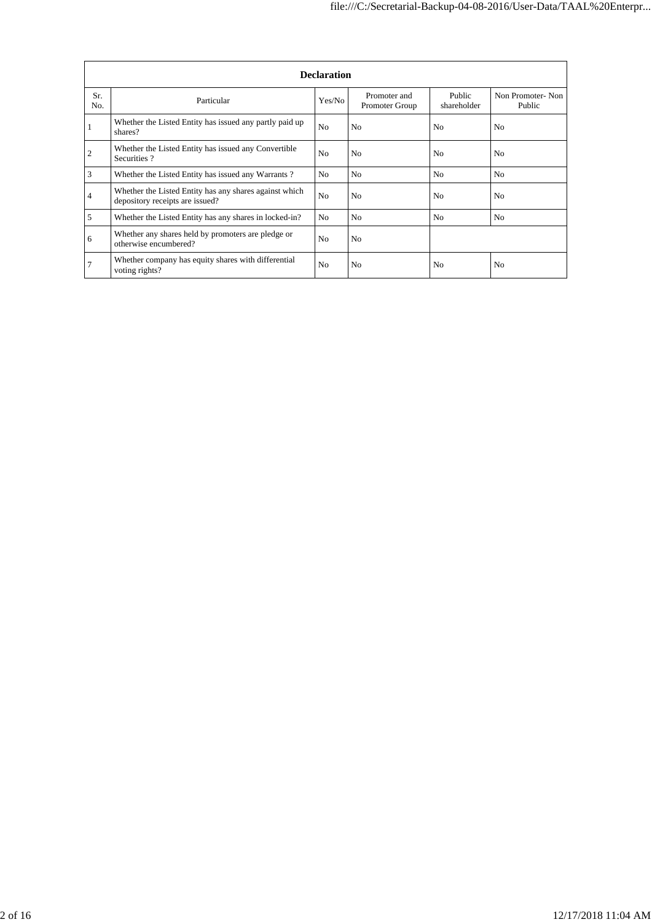|                |                                                                                           | <b>Declaration</b> |                                |                       |                            |
|----------------|-------------------------------------------------------------------------------------------|--------------------|--------------------------------|-----------------------|----------------------------|
| Sr.<br>No.     | Particular                                                                                | Yes/No             | Promoter and<br>Promoter Group | Public<br>shareholder | Non Promoter-Non<br>Public |
| -1             | Whether the Listed Entity has issued any partly paid up<br>shares?                        | N <sub>0</sub>     | N <sub>0</sub>                 | N <sub>0</sub>        | N <sub>0</sub>             |
| $\overline{2}$ | Whether the Listed Entity has issued any Convertible<br>Securities?                       | N <sub>0</sub>     | N <sub>0</sub>                 | N <sub>0</sub>        | N <sub>0</sub>             |
| 3              | Whether the Listed Entity has issued any Warrants?                                        | N <sub>0</sub>     | N <sub>0</sub>                 | N <sub>0</sub>        | No                         |
| $\overline{4}$ | Whether the Listed Entity has any shares against which<br>depository receipts are issued? | N <sub>o</sub>     | N <sub>0</sub>                 | N <sub>0</sub>        | N <sub>0</sub>             |
| 5              | Whether the Listed Entity has any shares in locked-in?                                    | N <sub>0</sub>     | N <sub>0</sub>                 | N <sub>0</sub>        | No                         |
| 6              | Whether any shares held by promoters are pledge or<br>otherwise encumbered?               | N <sub>0</sub>     | N <sub>0</sub>                 |                       |                            |
| $\overline{7}$ | Whether company has equity shares with differential<br>voting rights?                     | N <sub>0</sub>     | N <sub>0</sub>                 | N <sub>0</sub>        | N <sub>0</sub>             |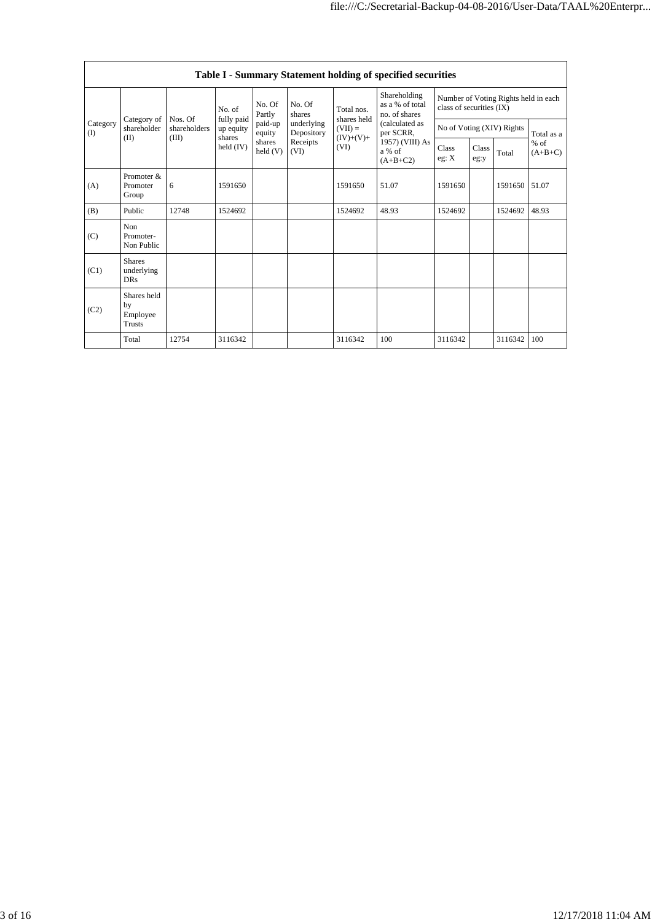|                 |                                                                              |                                         |                                   |                      |                                              |                                                                | Table I - Summary Statement holding of specified securities |                                                                  |  |         |            |
|-----------------|------------------------------------------------------------------------------|-----------------------------------------|-----------------------------------|----------------------|----------------------------------------------|----------------------------------------------------------------|-------------------------------------------------------------|------------------------------------------------------------------|--|---------|------------|
|                 |                                                                              | No. of                                  |                                   | No. Of<br>Partly     | No. Of<br>shares<br>underlying<br>Depository | Shareholding<br>as a % of total<br>Total nos.<br>no. of shares |                                                             | Number of Voting Rights held in each<br>class of securities (IX) |  |         |            |
| Category<br>(I) | Category of<br>shareholder<br>(II)                                           | Nos. Of<br>shareholders<br>(III)        | fully paid<br>up equity<br>shares | paid-up<br>equity    |                                              | shares held<br>$(VII) =$                                       | (calculated as<br>per SCRR,                                 | No of Voting (XIV) Rights                                        |  |         | Total as a |
|                 | $(IV)+(V)+$<br>Receipts<br>shares<br>held $(IV)$<br>(VI)<br>held (V)<br>(VI) | 1957) (VIII) As<br>a % of<br>$(A+B+C2)$ | Class<br>eg: X                    | <b>Class</b><br>eg:y | Total                                        | $%$ of<br>$(A+B+C)$                                            |                                                             |                                                                  |  |         |            |
| (A)             | Promoter $\&$<br>Promoter<br>Group                                           | 6                                       | 1591650                           |                      |                                              | 1591650                                                        | 51.07                                                       | 1591650                                                          |  | 1591650 | 51.07      |
| (B)             | Public                                                                       | 12748                                   | 1524692                           |                      |                                              | 1524692                                                        | 48.93                                                       | 1524692                                                          |  | 1524692 | 48.93      |
| (C)             | Non<br>Promoter-<br>Non Public                                               |                                         |                                   |                      |                                              |                                                                |                                                             |                                                                  |  |         |            |
| (C1)            | <b>Shares</b><br>underlying<br><b>DRs</b>                                    |                                         |                                   |                      |                                              |                                                                |                                                             |                                                                  |  |         |            |
| (C2)            | Shares held<br>by<br>Employee<br><b>Trusts</b>                               |                                         |                                   |                      |                                              |                                                                |                                                             |                                                                  |  |         |            |
|                 | Total                                                                        | 12754                                   | 3116342                           |                      |                                              | 3116342                                                        | 100                                                         | 3116342                                                          |  | 3116342 | 100        |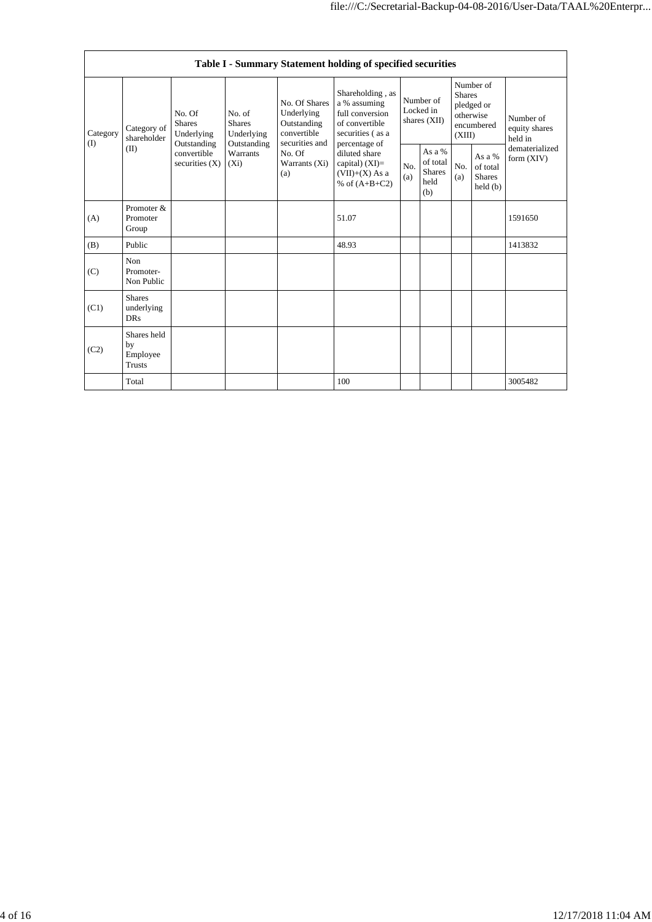|                   |                                                                                                               |                                 |                                                                             |                                                                                                            | Table I - Summary Statement holding of specified securities              |            |                                                                               |            |                                                |                                |
|-------------------|---------------------------------------------------------------------------------------------------------------|---------------------------------|-----------------------------------------------------------------------------|------------------------------------------------------------------------------------------------------------|--------------------------------------------------------------------------|------------|-------------------------------------------------------------------------------|------------|------------------------------------------------|--------------------------------|
| Category<br>$($ I | No. Of<br>No. of<br><b>Shares</b><br><b>Shares</b><br>Category of<br>Underlying<br>shareholder<br>Outstanding | Underlying<br>Outstanding       | No. Of Shares<br>Underlying<br>Outstanding<br>convertible<br>securities and | Shareholding, as<br>a % assuming<br>full conversion<br>of convertible<br>securities (as a<br>percentage of | Number of<br>Locked in<br>shares (XII)                                   |            | Number of<br><b>Shares</b><br>pledged or<br>otherwise<br>encumbered<br>(XIII) |            | Number of<br>equity shares<br>held in          |                                |
|                   | (II)                                                                                                          | convertible<br>securities $(X)$ | Warrants<br>$(X_i)$                                                         | No. Of<br>Warrants (Xi)<br>(a)                                                                             | diluted share<br>capital) $(XI)=$<br>$(VII)+(X)$ As a<br>% of $(A+B+C2)$ | No.<br>(a) | As a %<br>of total<br><b>Shares</b><br>held<br>(b)                            | No.<br>(a) | As a %<br>of total<br><b>Shares</b><br>held(b) | dematerialized<br>form $(XIV)$ |
| (A)               | Promoter &<br>Promoter<br>Group                                                                               |                                 |                                                                             |                                                                                                            | 51.07                                                                    |            |                                                                               |            |                                                | 1591650                        |
| (B)               | Public                                                                                                        |                                 |                                                                             |                                                                                                            | 48.93                                                                    |            |                                                                               |            |                                                | 1413832                        |
| (C)               | Non<br>Promoter-<br>Non Public                                                                                |                                 |                                                                             |                                                                                                            |                                                                          |            |                                                                               |            |                                                |                                |
| (C1)              | <b>Shares</b><br>underlying<br><b>DRs</b>                                                                     |                                 |                                                                             |                                                                                                            |                                                                          |            |                                                                               |            |                                                |                                |
| (C2)              | Shares held<br>by<br>Employee<br><b>Trusts</b>                                                                |                                 |                                                                             |                                                                                                            |                                                                          |            |                                                                               |            |                                                |                                |
|                   | Total                                                                                                         |                                 |                                                                             |                                                                                                            | 100                                                                      |            |                                                                               |            |                                                | 3005482                        |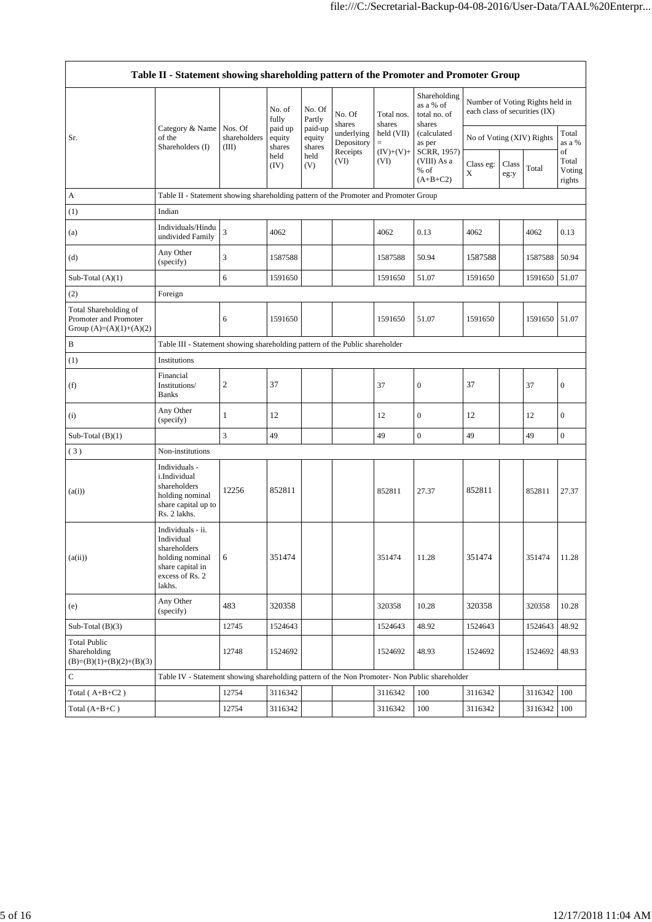|                                                                             | Table II - Statement showing shareholding pattern of the Promoter and Promoter Group                                |                                                                              |                             |                                                                |                                                                  |                                                                  |                                                                                                                                  |                                                                  |               |               |                                 |
|-----------------------------------------------------------------------------|---------------------------------------------------------------------------------------------------------------------|------------------------------------------------------------------------------|-----------------------------|----------------------------------------------------------------|------------------------------------------------------------------|------------------------------------------------------------------|----------------------------------------------------------------------------------------------------------------------------------|------------------------------------------------------------------|---------------|---------------|---------------------------------|
|                                                                             |                                                                                                                     |                                                                              | No. of<br>fully             | No. Of<br>Partly<br>paid-up<br>equity<br>shares<br>held<br>(V) | No. Of<br>shares<br>underlying<br>Depository<br>Receipts<br>(VI) | Total nos.<br>shares<br>held (VII)<br>$=$<br>$(IV)+(V)+$<br>(VI) | Shareholding<br>as a % of<br>total no. of<br>shares<br>(calculated<br>as per<br>SCRR, 1957)<br>(VIII) As a<br>% of<br>$(A+B+C2)$ | Number of Voting Rights held in<br>each class of securities (IX) |               |               |                                 |
| Sr.                                                                         | Category & Name   Nos. Of<br>of the<br>Shareholders (I)                                                             | shareholders<br>(III)                                                        | paid up<br>equity<br>shares |                                                                |                                                                  |                                                                  |                                                                                                                                  | No of Voting (XIV) Rights                                        |               |               | Total<br>as a %                 |
|                                                                             |                                                                                                                     |                                                                              | held<br>(IV)                |                                                                |                                                                  |                                                                  |                                                                                                                                  | Class eg:<br>X                                                   | Class<br>eg:y | Total         | of<br>Total<br>Voting<br>rights |
| A                                                                           | Table II - Statement showing shareholding pattern of the Promoter and Promoter Group                                |                                                                              |                             |                                                                |                                                                  |                                                                  |                                                                                                                                  |                                                                  |               |               |                                 |
| (1)                                                                         | Indian                                                                                                              |                                                                              |                             |                                                                |                                                                  |                                                                  |                                                                                                                                  |                                                                  |               |               |                                 |
| (a)                                                                         | Individuals/Hindu<br>undivided Family                                                                               | 3                                                                            | 4062                        |                                                                |                                                                  | 4062                                                             | 0.13                                                                                                                             | 4062                                                             |               | 4062          | 0.13                            |
| (d)                                                                         | Any Other<br>(specify)                                                                                              | 3                                                                            | 1587588                     |                                                                |                                                                  | 1587588                                                          | 50.94                                                                                                                            | 1587588                                                          |               | 1587588       | 50.94                           |
| Sub-Total $(A)(1)$                                                          |                                                                                                                     | 6                                                                            | 1591650                     |                                                                |                                                                  | 1591650                                                          | 51.07                                                                                                                            | 1591650                                                          |               | 1591650       | 51.07                           |
| (2)                                                                         | Foreign                                                                                                             |                                                                              |                             |                                                                |                                                                  |                                                                  |                                                                                                                                  |                                                                  |               |               |                                 |
| Total Shareholding of<br>Promoter and Promoter<br>Group $(A)=(A)(1)+(A)(2)$ |                                                                                                                     | 6                                                                            | 1591650                     |                                                                |                                                                  | 1591650                                                          | 51.07                                                                                                                            | 1591650                                                          |               | 1591650 51.07 |                                 |
| B                                                                           |                                                                                                                     | Table III - Statement showing shareholding pattern of the Public shareholder |                             |                                                                |                                                                  |                                                                  |                                                                                                                                  |                                                                  |               |               |                                 |
| (1)                                                                         | Institutions                                                                                                        |                                                                              |                             |                                                                |                                                                  |                                                                  |                                                                                                                                  |                                                                  |               |               |                                 |
| (f)                                                                         | Financial<br>Institutions/<br><b>Banks</b>                                                                          | $\mathfrak{2}$                                                               | 37                          |                                                                |                                                                  | 37                                                               | $\boldsymbol{0}$                                                                                                                 | 37                                                               |               | 37            | $\boldsymbol{0}$                |
| (i)                                                                         | Any Other<br>(specify)                                                                                              | 1                                                                            | 12                          |                                                                |                                                                  | 12                                                               | $\mathbf{0}$                                                                                                                     | 12                                                               |               | 12            | $\mathbf{0}$                    |
| Sub-Total $(B)(1)$                                                          |                                                                                                                     | 3                                                                            | 49                          |                                                                |                                                                  | 49                                                               | $\mathbf{0}$                                                                                                                     | 49                                                               |               | 49            | $\mathbf{0}$                    |
| (3)                                                                         | Non-institutions                                                                                                    |                                                                              |                             |                                                                |                                                                  |                                                                  |                                                                                                                                  |                                                                  |               |               |                                 |
| (a(i))                                                                      | Individuals -<br>i.Individual<br>shareholders<br>holding nominal<br>share capital up to<br>Rs. 2 lakhs.             | 12256                                                                        | 852811                      |                                                                |                                                                  | 852811                                                           | 27.37                                                                                                                            | 852811                                                           |               | 852811        | 27.37                           |
| (a(ii))                                                                     | Individuals - ii.<br>Individual<br>shareholders<br>holding nominal<br>share capital in<br>excess of Rs. 2<br>lakhs. | 6                                                                            | 351474                      |                                                                |                                                                  | 351474                                                           | 11.28                                                                                                                            | 351474                                                           |               | 351474        | 11.28                           |
| (e)                                                                         | Any Other<br>(specify)                                                                                              | 483                                                                          | 320358                      |                                                                |                                                                  | 320358                                                           | 10.28                                                                                                                            | 320358                                                           |               | 320358        | 10.28                           |
| Sub-Total $(B)(3)$                                                          |                                                                                                                     | 12745                                                                        | 1524643                     |                                                                |                                                                  | 1524643                                                          | 48.92                                                                                                                            | 1524643                                                          |               | 1524643       | 48.92                           |
| <b>Total Public</b><br>Shareholding<br>$(B)=(B)(1)+(B)(2)+(B)(3)$           |                                                                                                                     | 12748                                                                        | 1524692                     |                                                                |                                                                  | 1524692                                                          | 48.93                                                                                                                            | 1524692                                                          |               | 1524692       | 48.93                           |
| $\mathbf C$                                                                 | Table IV - Statement showing shareholding pattern of the Non Promoter- Non Public shareholder                       |                                                                              |                             |                                                                |                                                                  |                                                                  |                                                                                                                                  |                                                                  |               |               |                                 |
| Total $(A+B+C2)$                                                            |                                                                                                                     | 12754                                                                        | 3116342                     |                                                                |                                                                  | 3116342                                                          | 100                                                                                                                              | 3116342                                                          |               | 3116342       | 100                             |
| Total $(A+B+C)$                                                             |                                                                                                                     | 12754                                                                        | 3116342                     |                                                                |                                                                  | 3116342                                                          | 100                                                                                                                              | 3116342                                                          |               | 3116342 100   |                                 |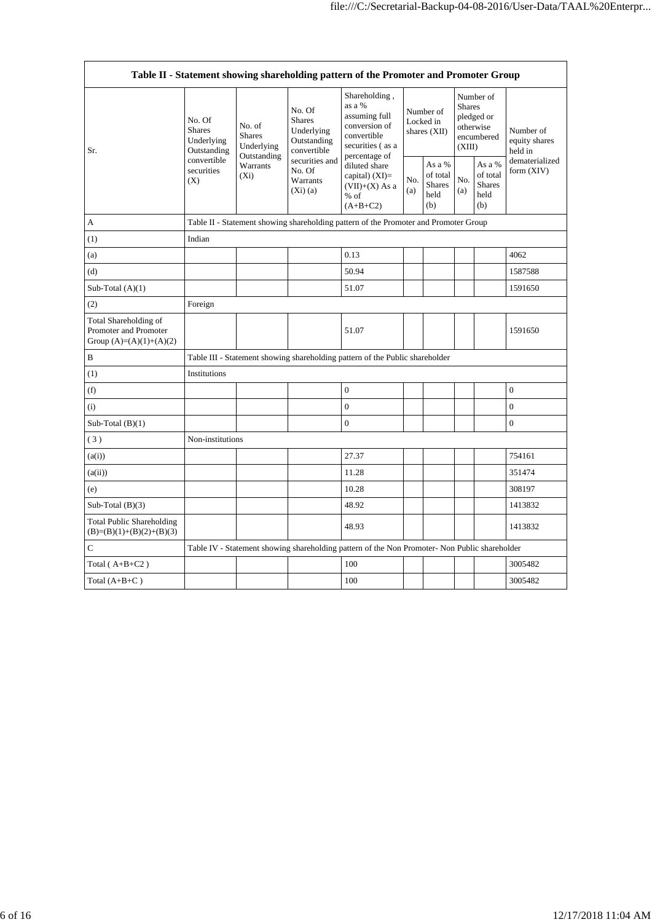|                                                                             |                                                                                                                                                                         |                                                                                      |                                                                                | Table II - Statement showing shareholding pattern of the Promoter and Promoter Group                          |                                                    |                                        |                                                    |                                                                               |                                       |
|-----------------------------------------------------------------------------|-------------------------------------------------------------------------------------------------------------------------------------------------------------------------|--------------------------------------------------------------------------------------|--------------------------------------------------------------------------------|---------------------------------------------------------------------------------------------------------------|----------------------------------------------------|----------------------------------------|----------------------------------------------------|-------------------------------------------------------------------------------|---------------------------------------|
| Sr.                                                                         | No. Of<br>No. of<br><b>Shares</b><br><b>Shares</b><br>Underlying<br>Underlying<br>Outstanding<br>Outstanding<br>convertible<br>Warrants<br>securities<br>$(X_i)$<br>(X) |                                                                                      | No. Of<br><b>Shares</b><br>Underlying<br>Outstanding<br>convertible            | Shareholding,<br>as a %<br>assuming full<br>conversion of<br>convertible<br>securities (as a<br>percentage of |                                                    | Number of<br>Locked in<br>shares (XII) |                                                    | Number of<br><b>Shares</b><br>pledged or<br>otherwise<br>encumbered<br>(XIII) | Number of<br>equity shares<br>held in |
|                                                                             |                                                                                                                                                                         | securities and<br>No. Of<br>Warrants<br>(Xi)(a)                                      | diluted share<br>capital) $(XI)$ =<br>$(VII)+(X)$ As a<br>$%$ of<br>$(A+B+C2)$ | No.<br>(a)                                                                                                    | As a %<br>of total<br><b>Shares</b><br>held<br>(b) | No.<br>(a)                             | As a %<br>of total<br><b>Shares</b><br>held<br>(b) | dematerialized<br>form (XIV)                                                  |                                       |
| A                                                                           |                                                                                                                                                                         | Table II - Statement showing shareholding pattern of the Promoter and Promoter Group |                                                                                |                                                                                                               |                                                    |                                        |                                                    |                                                                               |                                       |
| (1)                                                                         | Indian                                                                                                                                                                  |                                                                                      |                                                                                |                                                                                                               |                                                    |                                        |                                                    |                                                                               |                                       |
| (a)                                                                         |                                                                                                                                                                         |                                                                                      |                                                                                | 0.13                                                                                                          |                                                    |                                        |                                                    |                                                                               | 4062                                  |
| (d)                                                                         |                                                                                                                                                                         |                                                                                      |                                                                                | 50.94                                                                                                         |                                                    |                                        |                                                    |                                                                               | 1587588                               |
| Sub-Total $(A)(1)$                                                          |                                                                                                                                                                         |                                                                                      |                                                                                | 51.07                                                                                                         |                                                    |                                        |                                                    |                                                                               | 1591650                               |
| (2)                                                                         | Foreign                                                                                                                                                                 |                                                                                      |                                                                                |                                                                                                               |                                                    |                                        |                                                    |                                                                               |                                       |
| Total Shareholding of<br>Promoter and Promoter<br>Group $(A)=(A)(1)+(A)(2)$ |                                                                                                                                                                         |                                                                                      |                                                                                | 51.07                                                                                                         |                                                    |                                        |                                                    |                                                                               | 1591650                               |
| B                                                                           |                                                                                                                                                                         |                                                                                      |                                                                                | Table III - Statement showing shareholding pattern of the Public shareholder                                  |                                                    |                                        |                                                    |                                                                               |                                       |
| (1)                                                                         | Institutions                                                                                                                                                            |                                                                                      |                                                                                |                                                                                                               |                                                    |                                        |                                                    |                                                                               |                                       |
| (f)                                                                         |                                                                                                                                                                         |                                                                                      |                                                                                | $\boldsymbol{0}$                                                                                              |                                                    |                                        |                                                    |                                                                               | $\boldsymbol{0}$                      |
| (i)                                                                         |                                                                                                                                                                         |                                                                                      |                                                                                | $\overline{0}$                                                                                                |                                                    |                                        |                                                    |                                                                               | $\overline{0}$                        |
| Sub-Total $(B)(1)$                                                          |                                                                                                                                                                         |                                                                                      |                                                                                | $\overline{0}$                                                                                                |                                                    |                                        |                                                    |                                                                               | $\overline{0}$                        |
| (3)                                                                         | Non-institutions                                                                                                                                                        |                                                                                      |                                                                                |                                                                                                               |                                                    |                                        |                                                    |                                                                               |                                       |
| (a(i))                                                                      |                                                                                                                                                                         |                                                                                      |                                                                                | 27.37                                                                                                         |                                                    |                                        |                                                    |                                                                               | 754161                                |
| (a(ii))                                                                     |                                                                                                                                                                         |                                                                                      |                                                                                | 11.28                                                                                                         |                                                    |                                        |                                                    |                                                                               | 351474                                |
| (e)                                                                         |                                                                                                                                                                         |                                                                                      |                                                                                | 10.28                                                                                                         |                                                    |                                        |                                                    |                                                                               | 308197                                |
| Sub-Total $(B)(3)$                                                          |                                                                                                                                                                         |                                                                                      |                                                                                | 48.92                                                                                                         |                                                    |                                        |                                                    |                                                                               | 1413832                               |
| <b>Total Public Shareholding</b><br>$(B)=(B)(1)+(B)(2)+(B)(3)$              |                                                                                                                                                                         |                                                                                      |                                                                                | 48.93                                                                                                         |                                                    |                                        |                                                    |                                                                               | 1413832                               |
| $\mathsf{C}$                                                                |                                                                                                                                                                         |                                                                                      |                                                                                | Table IV - Statement showing shareholding pattern of the Non Promoter- Non Public shareholder                 |                                                    |                                        |                                                    |                                                                               |                                       |
| Total $(A+B+C2)$                                                            |                                                                                                                                                                         |                                                                                      |                                                                                | 100                                                                                                           |                                                    |                                        |                                                    |                                                                               | 3005482                               |
| Total $(A+B+C)$                                                             |                                                                                                                                                                         |                                                                                      |                                                                                | 100                                                                                                           |                                                    |                                        |                                                    |                                                                               | 3005482                               |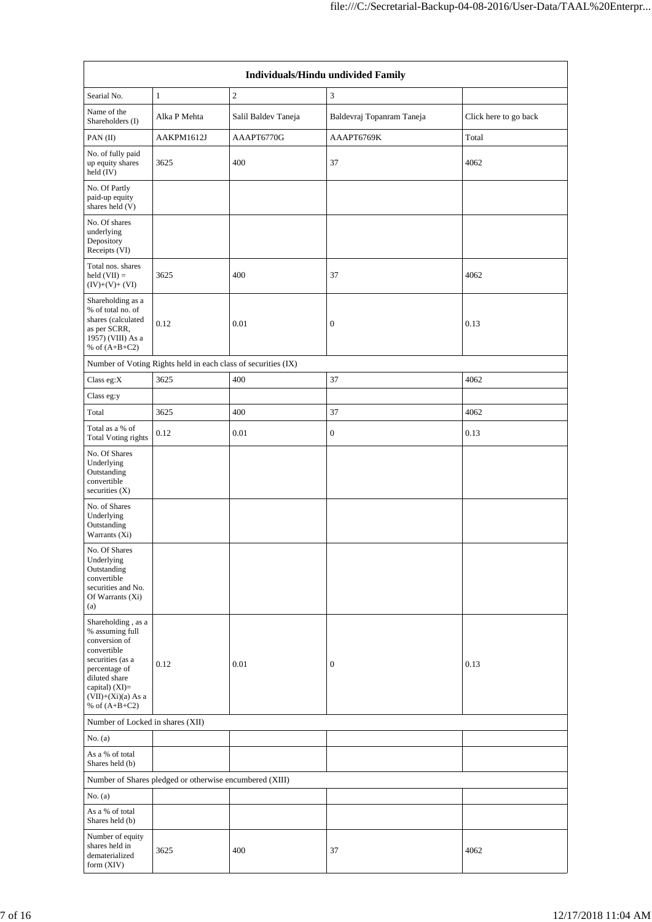|                                                                                                                                                                                           | Individuals/Hindu undivided Family                            |                     |                           |                       |  |  |  |
|-------------------------------------------------------------------------------------------------------------------------------------------------------------------------------------------|---------------------------------------------------------------|---------------------|---------------------------|-----------------------|--|--|--|
| Searial No.                                                                                                                                                                               | $\mathbf{1}$                                                  | $\mathfrak{2}$      | 3                         |                       |  |  |  |
| Name of the<br>Shareholders (I)                                                                                                                                                           | Alka P Mehta                                                  | Salil Baldev Taneja | Baldevraj Topanram Taneja | Click here to go back |  |  |  |
| PAN(II)                                                                                                                                                                                   | AAKPM1612J                                                    | AAAPT6770G          | AAAPT6769K                | Total                 |  |  |  |
| No. of fully paid<br>up equity shares<br>held (IV)                                                                                                                                        | 3625                                                          | 400                 | 37                        | 4062                  |  |  |  |
| No. Of Partly<br>paid-up equity<br>shares held (V)                                                                                                                                        |                                                               |                     |                           |                       |  |  |  |
| No. Of shares<br>underlying<br>Depository<br>Receipts (VI)                                                                                                                                |                                                               |                     |                           |                       |  |  |  |
| Total nos. shares<br>held $(VII) =$<br>$(IV)+(V)+(VI)$                                                                                                                                    | 3625                                                          | 400                 | 37                        | 4062                  |  |  |  |
| Shareholding as a<br>% of total no. of<br>shares (calculated<br>as per SCRR,<br>1957) (VIII) As a<br>% of $(A+B+C2)$                                                                      | 0.12                                                          | 0.01                | 0                         | 0.13                  |  |  |  |
|                                                                                                                                                                                           | Number of Voting Rights held in each class of securities (IX) |                     |                           |                       |  |  |  |
| Class eg: $X$                                                                                                                                                                             | 3625                                                          | 400                 | 37                        | 4062                  |  |  |  |
| Class eg:y                                                                                                                                                                                |                                                               |                     |                           |                       |  |  |  |
| Total                                                                                                                                                                                     | 3625                                                          | 400                 | 37                        | 4062                  |  |  |  |
| Total as a % of<br><b>Total Voting rights</b>                                                                                                                                             | 0.12                                                          | 0.01                | 0                         | 0.13                  |  |  |  |
| No. Of Shares<br>Underlying<br>Outstanding<br>convertible<br>securities (X)                                                                                                               |                                                               |                     |                           |                       |  |  |  |
| No. of Shares<br>Underlying<br>Outstanding<br>Warrants (Xi)                                                                                                                               |                                                               |                     |                           |                       |  |  |  |
| No. Of Shares<br>Underlying<br>Outstanding<br>convertible<br>securities and No.<br>Of Warrants (Xi)<br>(a)                                                                                |                                                               |                     |                           |                       |  |  |  |
| Shareholding , as a<br>% assuming full<br>conversion of<br>convertible<br>securities (as a<br>percentage of<br>diluted share<br>capital) (XI)=<br>$(VII)+(Xi)(a)$ As a<br>% of $(A+B+C2)$ | 0.12                                                          | 0.01                | $\boldsymbol{0}$          | 0.13                  |  |  |  |
| Number of Locked in shares (XII)                                                                                                                                                          |                                                               |                     |                           |                       |  |  |  |
| No. $(a)$                                                                                                                                                                                 |                                                               |                     |                           |                       |  |  |  |
| As a % of total<br>Shares held (b)                                                                                                                                                        |                                                               |                     |                           |                       |  |  |  |
|                                                                                                                                                                                           | Number of Shares pledged or otherwise encumbered (XIII)       |                     |                           |                       |  |  |  |
| No. $(a)$                                                                                                                                                                                 |                                                               |                     |                           |                       |  |  |  |
| As a % of total<br>Shares held (b)                                                                                                                                                        |                                                               |                     |                           |                       |  |  |  |
| Number of equity<br>shares held in<br>dematerialized<br>form (XIV)                                                                                                                        | 3625                                                          | 400                 | 37                        | 4062                  |  |  |  |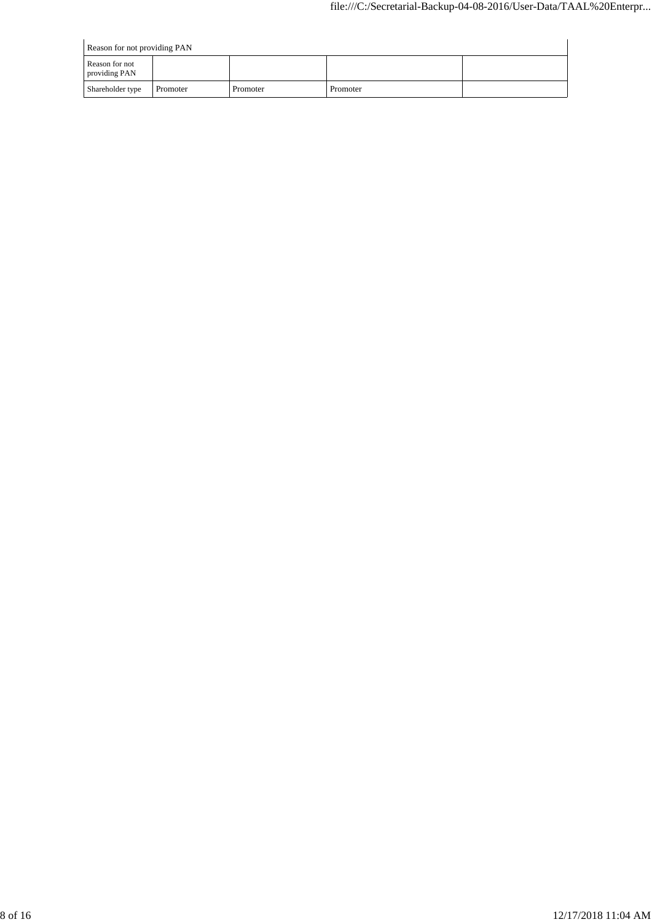|                                 | Reason for not providing PAN |          |          |  |  |  |
|---------------------------------|------------------------------|----------|----------|--|--|--|
| Reason for not<br>providing PAN |                              |          |          |  |  |  |
| Shareholder type                | Promoter                     | Promoter | Promoter |  |  |  |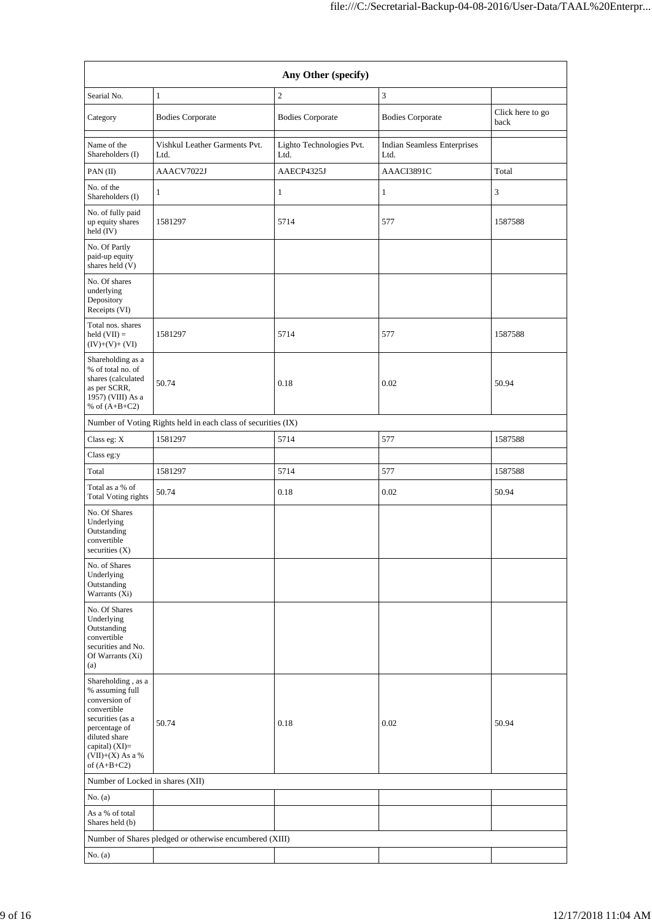|                                                                                                                                                                                        | Any Other (specify)                                     |                                  |                                            |                          |  |  |  |
|----------------------------------------------------------------------------------------------------------------------------------------------------------------------------------------|---------------------------------------------------------|----------------------------------|--------------------------------------------|--------------------------|--|--|--|
| Searial No.                                                                                                                                                                            | $\mathbf{1}$                                            | $\mathfrak{2}$                   | 3                                          |                          |  |  |  |
| Category                                                                                                                                                                               | <b>Bodies Corporate</b>                                 | <b>Bodies Corporate</b>          | <b>Bodies Corporate</b>                    | Click here to go<br>back |  |  |  |
| Name of the<br>Shareholders (I)                                                                                                                                                        | Vishkul Leather Garments Pvt.<br>Ltd.                   | Lighto Technologies Pvt.<br>Ltd. | <b>Indian Seamless Enterprises</b><br>Ltd. |                          |  |  |  |
| PAN(II)                                                                                                                                                                                | AAACV7022J                                              | AAECP4325J                       | AAACI3891C                                 | Total                    |  |  |  |
| No. of the<br>Shareholders (I)                                                                                                                                                         | 1                                                       | $\mathbf{1}$                     | $\mathbf{1}$                               | 3                        |  |  |  |
| No. of fully paid<br>up equity shares<br>held (IV)                                                                                                                                     | 1581297                                                 | 5714                             | 577                                        | 1587588                  |  |  |  |
| No. Of Partly<br>paid-up equity<br>shares held (V)                                                                                                                                     |                                                         |                                  |                                            |                          |  |  |  |
| No. Of shares<br>underlying<br>Depository<br>Receipts (VI)                                                                                                                             |                                                         |                                  |                                            |                          |  |  |  |
| Total nos. shares<br>held $(VII) =$<br>$(IV)+(V)+(VI)$                                                                                                                                 | 1581297                                                 | 5714                             | 577                                        | 1587588                  |  |  |  |
| Shareholding as a<br>% of total no. of<br>shares (calculated<br>as per SCRR,<br>1957) (VIII) As a<br>% of $(A+B+C2)$                                                                   | 50.74                                                   | 0.18                             | 0.02                                       | 50.94                    |  |  |  |
| Number of Voting Rights held in each class of securities (IX)                                                                                                                          |                                                         |                                  |                                            |                          |  |  |  |
| Class eg: X                                                                                                                                                                            | 1581297                                                 | 5714                             | 577                                        | 1587588                  |  |  |  |
| Class eg:y                                                                                                                                                                             |                                                         |                                  |                                            |                          |  |  |  |
| Total                                                                                                                                                                                  | 1581297                                                 | 5714                             | 577                                        | 1587588                  |  |  |  |
| Total as a % of<br><b>Total Voting rights</b>                                                                                                                                          | 50.74                                                   | 0.18                             | 0.02                                       | 50.94                    |  |  |  |
| No. Of Shares<br>Underlying<br>Outstanding<br>convertible<br>securities $(X)$                                                                                                          |                                                         |                                  |                                            |                          |  |  |  |
| No. of Shares<br>Underlying<br>Outstanding<br>Warrants (Xi)                                                                                                                            |                                                         |                                  |                                            |                          |  |  |  |
| No. Of Shares<br>Underlying<br>Outstanding<br>convertible<br>securities and No.<br>Of Warrants (Xi)<br>(a)                                                                             |                                                         |                                  |                                            |                          |  |  |  |
| Shareholding, as a<br>% assuming full<br>conversion of<br>convertible<br>securities (as a<br>percentage of<br>diluted share<br>capital) $(XI)=$<br>$(VII)+(X)$ As a %<br>of $(A+B+C2)$ | 50.74                                                   | 0.18                             | 0.02                                       | 50.94                    |  |  |  |
| Number of Locked in shares (XII)                                                                                                                                                       |                                                         |                                  |                                            |                          |  |  |  |
| No. $(a)$                                                                                                                                                                              |                                                         |                                  |                                            |                          |  |  |  |
| As a % of total<br>Shares held (b)                                                                                                                                                     |                                                         |                                  |                                            |                          |  |  |  |
|                                                                                                                                                                                        | Number of Shares pledged or otherwise encumbered (XIII) |                                  |                                            |                          |  |  |  |
| No. $(a)$                                                                                                                                                                              |                                                         |                                  |                                            |                          |  |  |  |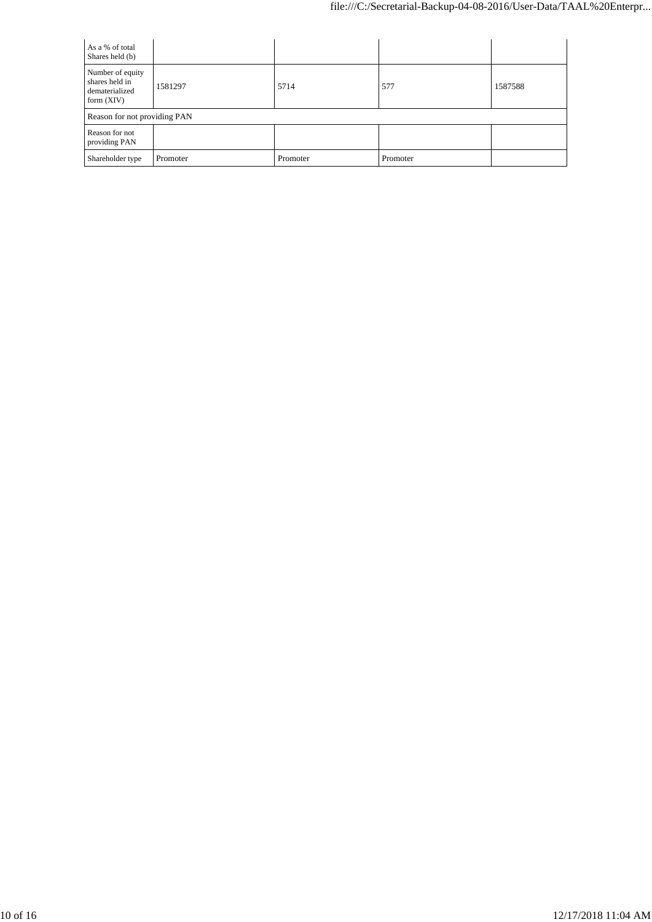| As a % of total<br>Shares held (b)                                   |          |          |          |         |
|----------------------------------------------------------------------|----------|----------|----------|---------|
| Number of equity<br>shares held in<br>dematerialized<br>form $(XIV)$ | 1581297  | 5714     | 577      | 1587588 |
| Reason for not providing PAN                                         |          |          |          |         |
| Reason for not<br>providing PAN                                      |          |          |          |         |
| Shareholder type                                                     | Promoter | Promoter | Promoter |         |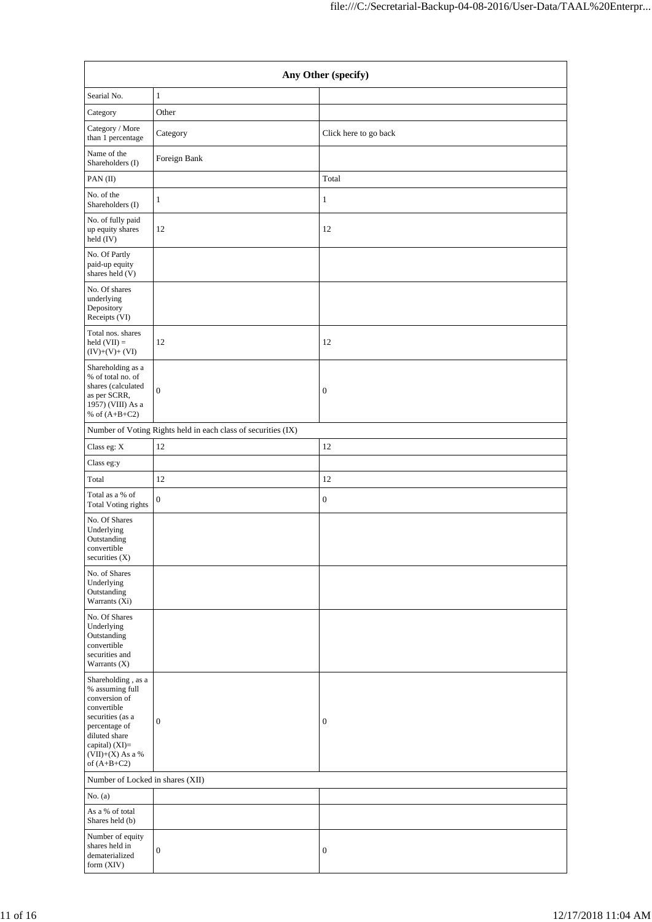|                                                                                                                                                                                      | Any Other (specify)                                           |                       |  |  |  |  |
|--------------------------------------------------------------------------------------------------------------------------------------------------------------------------------------|---------------------------------------------------------------|-----------------------|--|--|--|--|
| Searial No.                                                                                                                                                                          | $\mathbf{1}$                                                  |                       |  |  |  |  |
| Category                                                                                                                                                                             | Other                                                         |                       |  |  |  |  |
| Category / More<br>than 1 percentage                                                                                                                                                 | Category                                                      | Click here to go back |  |  |  |  |
| Name of the<br>Shareholders (I)                                                                                                                                                      | Foreign Bank                                                  |                       |  |  |  |  |
| PAN (II)                                                                                                                                                                             |                                                               | Total                 |  |  |  |  |
| No. of the<br>Shareholders (I)                                                                                                                                                       | $\mathbf{1}$                                                  | 1                     |  |  |  |  |
| No. of fully paid<br>up equity shares<br>held (IV)                                                                                                                                   | 12                                                            | 12                    |  |  |  |  |
| No. Of Partly<br>paid-up equity<br>shares held (V)                                                                                                                                   |                                                               |                       |  |  |  |  |
| No. Of shares<br>underlying<br>Depository<br>Receipts (VI)                                                                                                                           |                                                               |                       |  |  |  |  |
| Total nos. shares<br>held $(VII) =$<br>$(IV)+(V)+(VI)$                                                                                                                               | 12                                                            | 12                    |  |  |  |  |
| Shareholding as a<br>% of total no. of<br>shares (calculated<br>as per SCRR,<br>1957) (VIII) As a<br>% of $(A+B+C2)$                                                                 | $\mathbf{0}$                                                  | $\boldsymbol{0}$      |  |  |  |  |
|                                                                                                                                                                                      | Number of Voting Rights held in each class of securities (IX) |                       |  |  |  |  |
| Class eg: X                                                                                                                                                                          | $12\,$                                                        | 12                    |  |  |  |  |
| Class eg:y                                                                                                                                                                           |                                                               |                       |  |  |  |  |
| Total                                                                                                                                                                                | 12                                                            | 12                    |  |  |  |  |
| Total as a % of<br>Total Voting rights                                                                                                                                               | $\boldsymbol{0}$                                              | $\mathbf{0}$          |  |  |  |  |
| No. Of Shares<br>Underlying<br>Outstanding<br>convertible<br>securities (X)                                                                                                          |                                                               |                       |  |  |  |  |
| No. of Shares<br>Underlying<br>Outstanding<br>Warrants (Xi)                                                                                                                          |                                                               |                       |  |  |  |  |
| No. Of Shares<br>Underlying<br>Outstanding<br>convertible<br>securities and<br>Warrants $(X)$                                                                                        |                                                               |                       |  |  |  |  |
| Shareholding, as a<br>% assuming full<br>conversion of<br>convertible<br>securities (as a<br>percentage of<br>diluted share<br>capital) (XI)=<br>$(VII)+(X)$ As a %<br>of $(A+B+C2)$ | $\boldsymbol{0}$                                              | $\boldsymbol{0}$      |  |  |  |  |
| Number of Locked in shares (XII)                                                                                                                                                     |                                                               |                       |  |  |  |  |
| No. $(a)$                                                                                                                                                                            |                                                               |                       |  |  |  |  |
| As a % of total<br>Shares held (b)                                                                                                                                                   |                                                               |                       |  |  |  |  |
| Number of equity<br>shares held in<br>dematerialized<br>form (XIV)                                                                                                                   | $\boldsymbol{0}$                                              | $\boldsymbol{0}$      |  |  |  |  |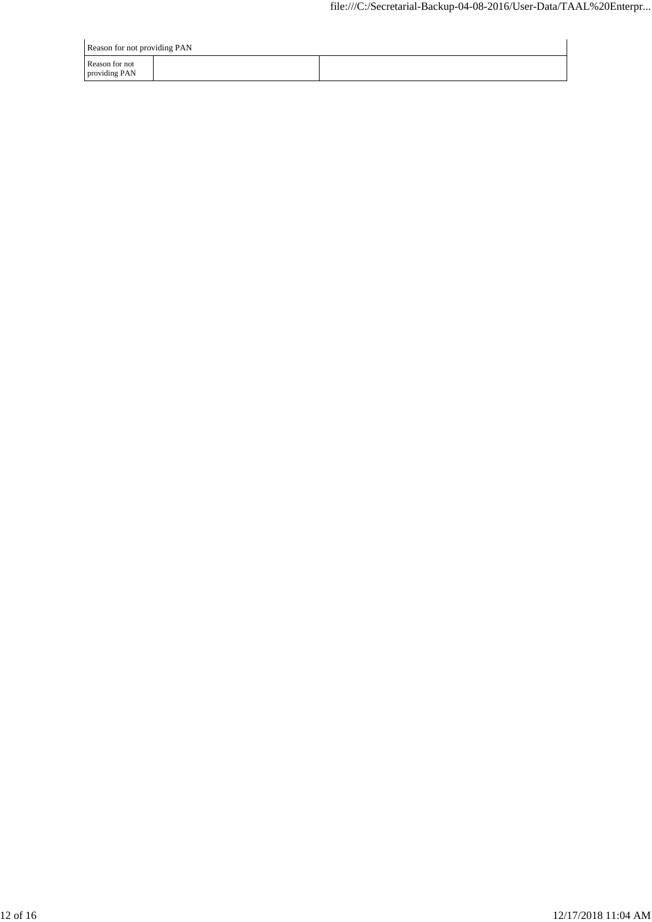| Reason for not providing PAN    |  |
|---------------------------------|--|
| Reason for not<br>providing PAN |  |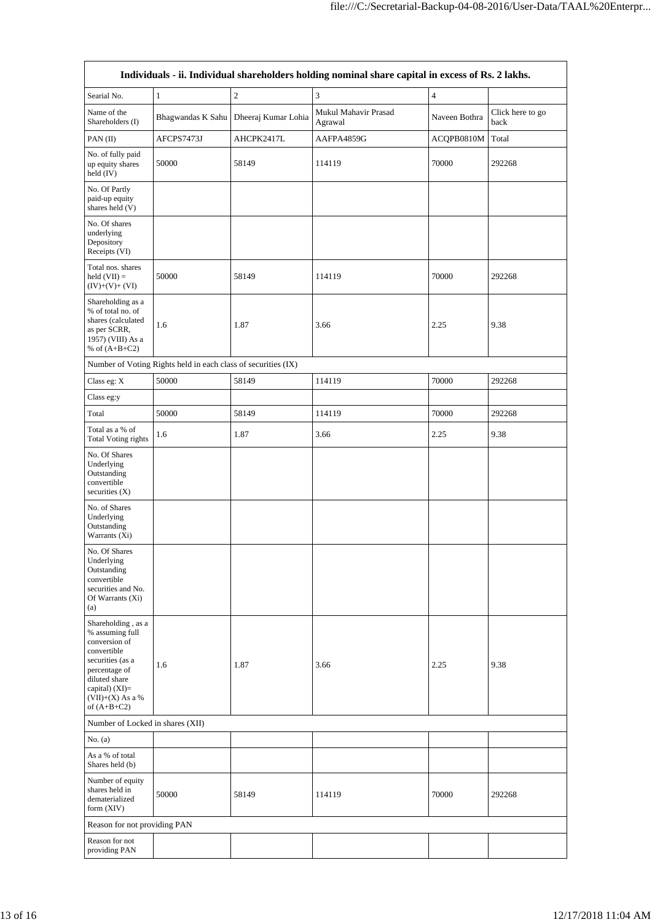| Individuals - ii. Individual shareholders holding nominal share capital in excess of Rs. 2 lakhs.                                                                                    |                                                               |                                         |                                 |                |                          |  |  |
|--------------------------------------------------------------------------------------------------------------------------------------------------------------------------------------|---------------------------------------------------------------|-----------------------------------------|---------------------------------|----------------|--------------------------|--|--|
| Searial No.                                                                                                                                                                          | $\mathbf{1}$                                                  | $\sqrt{2}$                              | 3                               | $\overline{4}$ |                          |  |  |
| Name of the<br>Shareholders (I)                                                                                                                                                      |                                                               | Bhagwandas K Sahu   Dheeraj Kumar Lohia | Mukul Mahavir Prasad<br>Agrawal | Naveen Bothra  | Click here to go<br>back |  |  |
| PAN (II)                                                                                                                                                                             | AFCPS7473J                                                    | AHCPK2417L                              | AAFPA4859G                      | ACQPB0810M     | Total                    |  |  |
| No. of fully paid<br>up equity shares<br>held (IV)                                                                                                                                   | 50000                                                         | 58149                                   | 114119                          | 70000          | 292268                   |  |  |
| No. Of Partly<br>paid-up equity<br>shares held (V)                                                                                                                                   |                                                               |                                         |                                 |                |                          |  |  |
| No. Of shares<br>underlying<br>Depository<br>Receipts (VI)                                                                                                                           |                                                               |                                         |                                 |                |                          |  |  |
| Total nos. shares<br>held $(VII) =$<br>$(IV)+(V)+(VI)$                                                                                                                               | 50000                                                         | 58149                                   | 114119                          | 70000          | 292268                   |  |  |
| Shareholding as a<br>% of total no. of<br>shares (calculated<br>as per SCRR,<br>1957) (VIII) As a<br>% of $(A+B+C2)$                                                                 | 1.6                                                           | 1.87                                    | 3.66                            | 2.25           | 9.38                     |  |  |
|                                                                                                                                                                                      | Number of Voting Rights held in each class of securities (IX) |                                         |                                 |                |                          |  |  |
| Class eg: X                                                                                                                                                                          | 50000                                                         | 58149                                   | 114119                          | 70000          | 292268                   |  |  |
| Class eg:y                                                                                                                                                                           |                                                               |                                         |                                 |                |                          |  |  |
| Total                                                                                                                                                                                | 50000                                                         | 58149                                   | 114119                          | 70000          | 292268                   |  |  |
| Total as a % of<br><b>Total Voting rights</b>                                                                                                                                        | 1.6                                                           | 1.87                                    | 3.66                            | 2.25           | 9.38                     |  |  |
| No. Of Shares<br>Underlying<br>Outstanding<br>convertible<br>securities (X)                                                                                                          |                                                               |                                         |                                 |                |                          |  |  |
| No. of Shares<br>Underlying<br>Outstanding<br>Warrants (Xi)                                                                                                                          |                                                               |                                         |                                 |                |                          |  |  |
| No. Of Shares<br>Underlying<br>Outstanding<br>convertible<br>securities and No.<br>Of Warrants $(X_i)$<br>(a)                                                                        |                                                               |                                         |                                 |                |                          |  |  |
| Shareholding, as a<br>% assuming full<br>conversion of<br>convertible<br>securities (as a<br>percentage of<br>diluted share<br>capital) (XI)=<br>$(VII)+(X)$ As a %<br>of $(A+B+C2)$ | 1.6                                                           | 1.87                                    | 3.66                            | 2.25           | 9.38                     |  |  |
| Number of Locked in shares (XII)                                                                                                                                                     |                                                               |                                         |                                 |                |                          |  |  |
| No. $(a)$                                                                                                                                                                            |                                                               |                                         |                                 |                |                          |  |  |
| As a % of total<br>Shares held (b)                                                                                                                                                   |                                                               |                                         |                                 |                |                          |  |  |
| Number of equity<br>shares held in<br>dematerialized<br>form (XIV)                                                                                                                   | 50000                                                         | 58149                                   | 114119                          | 70000          | 292268                   |  |  |
| Reason for not providing PAN                                                                                                                                                         |                                                               |                                         |                                 |                |                          |  |  |
| Reason for not<br>providing PAN                                                                                                                                                      |                                                               |                                         |                                 |                |                          |  |  |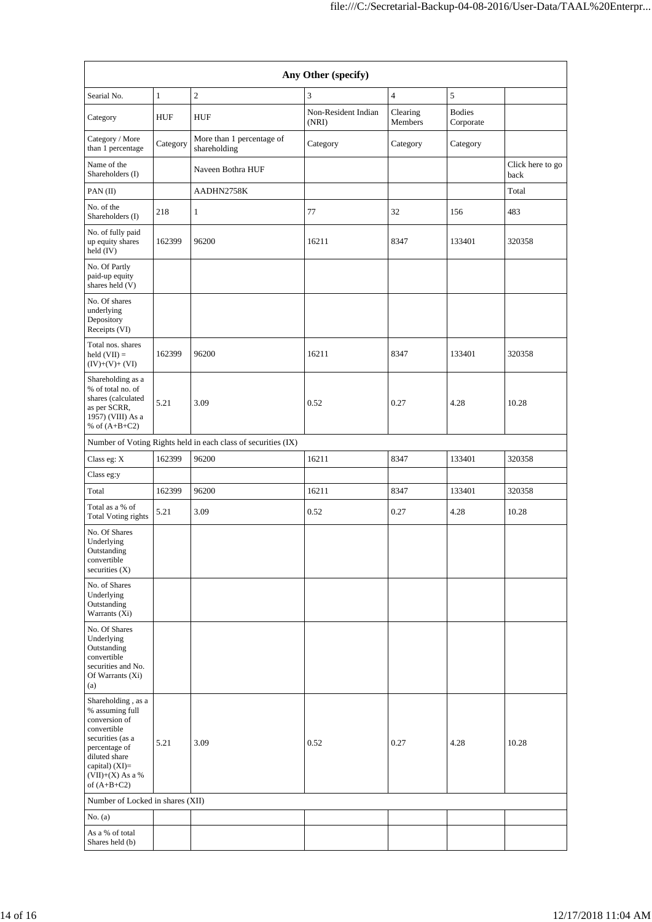| Any Other (specify)                                                                                                                                                                  |              |                                                               |                              |                     |                            |                          |  |
|--------------------------------------------------------------------------------------------------------------------------------------------------------------------------------------|--------------|---------------------------------------------------------------|------------------------------|---------------------|----------------------------|--------------------------|--|
| Searial No.                                                                                                                                                                          | $\mathbf{1}$ | $\sqrt{2}$                                                    | 3                            | $\overline{4}$      | 5                          |                          |  |
| Category                                                                                                                                                                             | HUF          | <b>HUF</b>                                                    | Non-Resident Indian<br>(NRI) | Clearing<br>Members | <b>Bodies</b><br>Corporate |                          |  |
| Category / More<br>than 1 percentage                                                                                                                                                 | Category     | More than 1 percentage of<br>shareholding                     | Category                     | Category            | Category                   |                          |  |
| Name of the<br>Shareholders (I)                                                                                                                                                      |              | Naveen Bothra HUF                                             |                              |                     |                            | Click here to go<br>back |  |
| PAN (II)                                                                                                                                                                             |              | AADHN2758K                                                    |                              |                     |                            | Total                    |  |
| No. of the<br>Shareholders (I)                                                                                                                                                       | 218          | 1                                                             | 77                           | 32                  | 156                        | 483                      |  |
| No. of fully paid<br>up equity shares<br>held (IV)                                                                                                                                   | 162399       | 96200                                                         | 16211                        | 8347                | 133401                     | 320358                   |  |
| No. Of Partly<br>paid-up equity<br>shares held (V)                                                                                                                                   |              |                                                               |                              |                     |                            |                          |  |
| No. Of shares<br>underlying<br>Depository<br>Receipts (VI)                                                                                                                           |              |                                                               |                              |                     |                            |                          |  |
| Total nos. shares<br>held $(VII) =$<br>$(IV)+(V)+(VI)$                                                                                                                               | 162399       | 96200                                                         | 16211                        | 8347                | 133401                     | 320358                   |  |
| Shareholding as a<br>% of total no. of<br>shares (calculated<br>as per SCRR,<br>1957) (VIII) As a<br>% of $(A+B+C2)$                                                                 | 5.21         | 3.09                                                          | 0.52                         | 0.27                | 4.28                       | 10.28                    |  |
|                                                                                                                                                                                      |              | Number of Voting Rights held in each class of securities (IX) |                              |                     |                            |                          |  |
| Class eg: X                                                                                                                                                                          | 162399       | 96200                                                         | 16211                        | 8347                | 133401                     | 320358                   |  |
| Class eg:y                                                                                                                                                                           |              |                                                               |                              |                     |                            |                          |  |
| Total                                                                                                                                                                                | 162399       | 96200                                                         | 16211                        | 8347                | 133401                     | 320358                   |  |
| Total as a % of<br><b>Total Voting rights</b>                                                                                                                                        | 5.21         | 3.09                                                          | 0.52                         | 0.27                | 4.28                       | 10.28                    |  |
| No. Of Shares<br>Underlying<br>Outstanding<br>convertible<br>securities $(X)$                                                                                                        |              |                                                               |                              |                     |                            |                          |  |
| No. of Shares<br>Underlying<br>Outstanding<br>Warrants (Xi)                                                                                                                          |              |                                                               |                              |                     |                            |                          |  |
| No. Of Shares<br>Underlying<br>Outstanding<br>convertible<br>securities and No.<br>Of Warrants $(X_i)$<br>(a)                                                                        |              |                                                               |                              |                     |                            |                          |  |
| Shareholding, as a<br>% assuming full<br>conversion of<br>convertible<br>securities (as a<br>percentage of<br>diluted share<br>capital) (XI)=<br>$(VII)+(X)$ As a %<br>of $(A+B+C2)$ | 5.21         | 3.09                                                          | 0.52                         | 0.27                | 4.28                       | 10.28                    |  |
| Number of Locked in shares (XII)                                                                                                                                                     |              |                                                               |                              |                     |                            |                          |  |
| No. (a)                                                                                                                                                                              |              |                                                               |                              |                     |                            |                          |  |
| As a % of total<br>Shares held (b)                                                                                                                                                   |              |                                                               |                              |                     |                            |                          |  |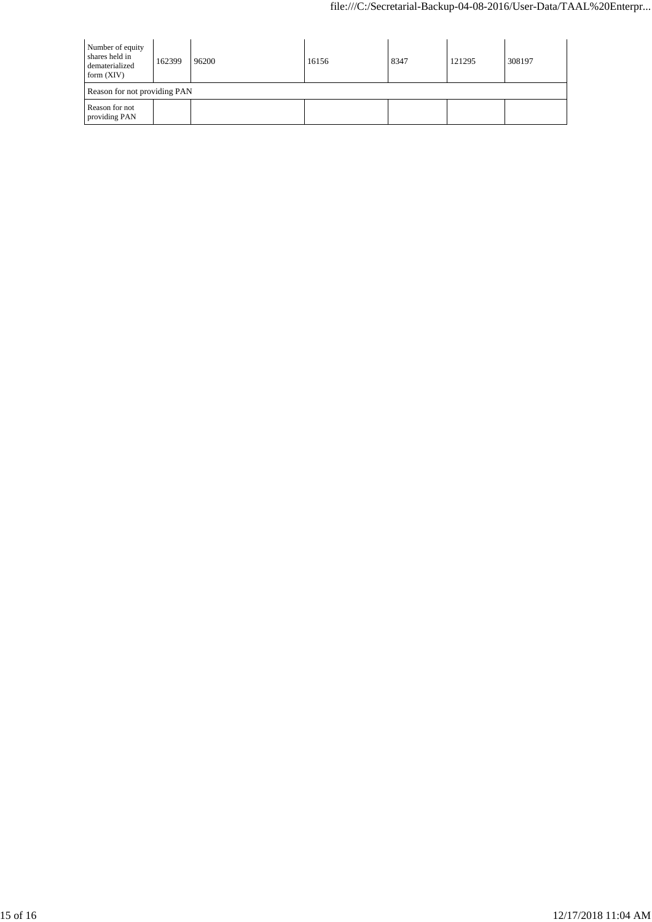| Number of equity<br>shares held in<br>dematerialized<br>form $(XIV)$ | 162399 | 96200 | 16156 | 8347 | 121295 | 308197 |  |
|----------------------------------------------------------------------|--------|-------|-------|------|--------|--------|--|
| Reason for not providing PAN                                         |        |       |       |      |        |        |  |
| Reason for not<br>providing PAN                                      |        |       |       |      |        |        |  |